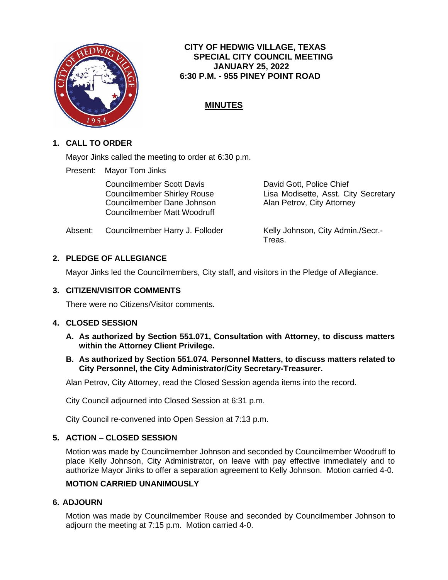

## **CITY OF HEDWIG VILLAGE, TEXAS SPECIAL CITY COUNCIL MEETING JANUARY 25, 2022 6:30 P.M. - 955 PINEY POINT ROAD**

# **MINUTES**

## **1. CALL TO ORDER**

Mayor Jinks called the meeting to order at 6:30 p.m.

Present: Mayor Tom Jinks

Councilmember Scott Davis David Gott, Police Chief Councilmember Dane Johnson Alan Petrov, City Attorney Councilmember Matt Woodruff

Councilmember Shirley Rouse Lisa Modisette, Asst. City Secretary

Absent: Councilmember Harry J. Folloder Kelly Johnson, City Admin./Secr.-

Treas.

# **2. PLEDGE OF ALLEGIANCE**

Mayor Jinks led the Councilmembers, City staff, and visitors in the Pledge of Allegiance.

#### **3. CITIZEN/VISITOR COMMENTS**

There were no Citizens/Visitor comments.

#### **4. CLOSED SESSION**

- **A. As authorized by Section 551.071, Consultation with Attorney, to discuss matters within the Attorney Client Privilege.**
- **B. As authorized by Section 551.074. Personnel Matters, to discuss matters related to City Personnel, the City Administrator/City Secretary-Treasurer.**

Alan Petrov, City Attorney, read the Closed Session agenda items into the record.

City Council adjourned into Closed Session at 6:31 p.m.

City Council re-convened into Open Session at 7:13 p.m.

#### **5. ACTION – CLOSED SESSION**

Motion was made by Councilmember Johnson and seconded by Councilmember Woodruff to place Kelly Johnson, City Administrator, on leave with pay effective immediately and to authorize Mayor Jinks to offer a separation agreement to Kelly Johnson. Motion carried 4-0.

#### **MOTION CARRIED UNANIMOUSLY**

#### **6. ADJOURN**

Motion was made by Councilmember Rouse and seconded by Councilmember Johnson to adjourn the meeting at 7:15 p.m. Motion carried 4-0.